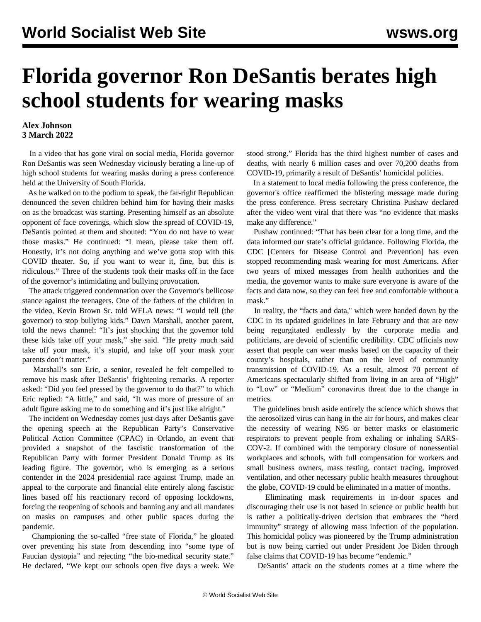## **Florida governor Ron DeSantis berates high school students for wearing masks**

## **Alex Johnson 3 March 2022**

 In a video that has gone viral on social media, Florida governor Ron DeSantis was seen Wednesday viciously berating a line-up of high school students for wearing masks during a press conference held at the University of South Florida.

 As he walked on to the podium to speak, the far-right Republican denounced the seven children behind him for having their masks on as the broadcast was starting. Presenting himself as an absolute opponent of face coverings, which slow the spread of COVID-19, DeSantis pointed at them and shouted: "You do not have to wear those masks." He continued: "I mean, please take them off. Honestly, it's not doing anything and we've gotta stop with this COVID theater. So, if you want to wear it, fine, but this is ridiculous." Three of the students took their masks off in the face of the governor's intimidating and bullying provocation.

 The attack triggered condemnation over the Governor's bellicose stance against the teenagers. One of the fathers of the children in the video, Kevin Brown Sr. told WFLA news: "I would tell (the governor) to stop bullying kids." Dawn Marshall, another parent, told the news channel: "It's just shocking that the governor told these kids take off your mask," she said. "He pretty much said take off your mask, it's stupid, and take off your mask your parents don't matter."

 Marshall's son Eric, a senior, revealed he felt compelled to remove his mask after DeSantis' frightening remarks. A reporter asked: "Did you feel pressed by the governor to do that?" to which Eric replied: "A little," and said, "It was more of pressure of an adult figure asking me to do something and it's just like alright."

 The incident on Wednesday comes just days after DeSantis gave the opening speech at the Republican Party's Conservative Political Action Committee (CPAC) in Orlando, an event that provided a snapshot of the fascistic transformation of the Republican Party with former President Donald Trump as its leading figure. The governor, who is emerging as a serious contender in the 2024 presidential race against Trump, made an appeal to the corporate and financial elite entirely along fascistic lines based off his reactionary record of opposing lockdowns, forcing the reopening of schools and banning any and all mandates on masks on campuses and other public spaces during the pandemic.

 Championing the so-called "free state of Florida," he gloated over preventing his state from descending into "some type of Faucian dystopia" and rejecting "the bio-medical security state." He declared, "We kept our schools open five days a week. We stood strong." Florida has the third highest number of cases and deaths, with nearly 6 million cases and over 70,200 deaths from COVID-19, primarily a result of DeSantis' homicidal policies.

 In a statement to local media following the press conference, the governor's office reaffirmed the blistering message made during the press conference. Press secretary Christina Pushaw declared after the video went viral that there was "no evidence that masks make any difference."

 Pushaw continued: "That has been clear for a long time, and the data informed our state's official guidance. Following Florida, the CDC [Centers for Disease Control and Prevention] has even stopped recommending mask wearing for most Americans. After two years of mixed messages from health authorities and the media, the governor wants to make sure everyone is aware of the facts and data now, so they can feel free and comfortable without a mask."

 In reality, the "facts and data,'' which were handed down by the CDC in its updated guidelines in late February and that are now being regurgitated endlessly by the corporate media and politicians, are devoid of scientific credibility. CDC officials now assert that people can wear masks based on the capacity of their county's hospitals, rather than on the level of community transmission of COVID-19. As a result, almost 70 percent of Americans spectacularly shifted from living in an area of "High" to "Low" or "Medium" coronavirus threat due to the change in metrics.

 The guidelines brush aside entirely the science which shows that the aerosolized virus can hang in the air for hours, and makes clear the necessity of wearing N95 or better masks or elastomeric respirators to prevent people from exhaling or inhaling SARS-COV-2. If combined with the temporary closure of nonessential workplaces and schools, with full compensation for workers and small business owners, mass testing, contact tracing, improved ventilation, and other necessary public health measures throughout the globe, COVID-19 could be eliminated in a matter of months.

 Eliminating mask requirements in in-door spaces and discouraging their use is not based in science or public health but is rather a politically-driven decision that embraces the "herd immunity" strategy of allowing mass infection of the population. This homicidal policy was pioneered by the Trump administration but is now being carried out under President Joe Biden through false claims that COVID-19 has become "endemic."

DeSantis' attack on the students comes at a time where the